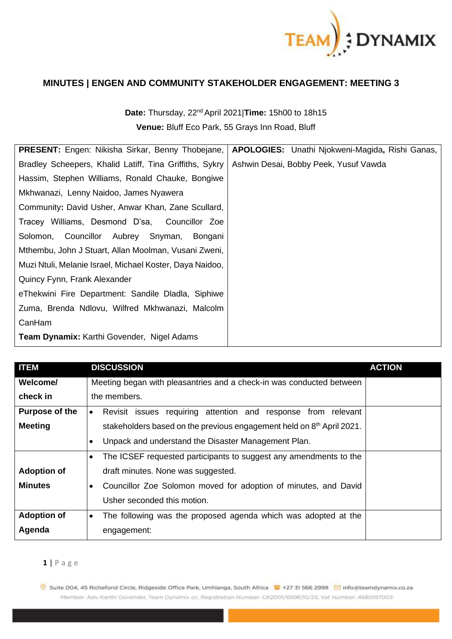

## **MINUTES | ENGEN AND COMMUNITY STAKEHOLDER ENGAGEMENT: MEETING 3**

**Date:** Thursday, 22nd April 2021|**Time:** 15h00 to 18h15 **Venue:** Bluff Eco Park, 55 Grays Inn Road, Bluff

| PRESENT: Engen: Nikisha Sirkar, Benny Thobejane,         | APOLOGIES: Unathi Njokweni-Magida, Rishi Ganas, |  |  |
|----------------------------------------------------------|-------------------------------------------------|--|--|
| Bradley Scheepers, Khalid Latiff, Tina Griffiths, Sykry  | Ashwin Desai, Bobby Peek, Yusuf Vawda           |  |  |
| Hassim, Stephen Williams, Ronald Chauke, Bongiwe         |                                                 |  |  |
| Mkhwanazi, Lenny Naidoo, James Nyawera                   |                                                 |  |  |
| Community: David Usher, Anwar Khan, Zane Scullard,       |                                                 |  |  |
| Tracey Williams, Desmond D'sa, Councillor Zoe            |                                                 |  |  |
| Solomon, Councillor Aubrey Snyman,<br>Bongani            |                                                 |  |  |
| Mthembu, John J Stuart, Allan Moolman, Vusani Zweni,     |                                                 |  |  |
| Muzi Ntuli, Melanie Israel, Michael Koster, Daya Naidoo, |                                                 |  |  |
| Quincy Fynn, Frank Alexander                             |                                                 |  |  |
| eThekwini Fire Department: Sandile Dladla, Siphiwe       |                                                 |  |  |
| Zuma, Brenda Ndlovu, Wilfred Mkhwanazi, Malcolm          |                                                 |  |  |
| CanHam                                                   |                                                 |  |  |
| <b>Team Dynamix: Karthi Govender, Nigel Adams</b>        |                                                 |  |  |

| <b>ITEM</b>           | <b>DISCUSSION</b>                                                                 | <b>ACTION</b> |
|-----------------------|-----------------------------------------------------------------------------------|---------------|
| Welcome/              | Meeting began with pleasantries and a check-in was conducted between              |               |
| check in              | the members.                                                                      |               |
| <b>Purpose of the</b> | Revisit issues requiring attention and response from relevant<br>$\bullet$        |               |
| <b>Meeting</b>        | stakeholders based on the previous engagement held on 8 <sup>th</sup> April 2021. |               |
|                       | Unpack and understand the Disaster Management Plan.<br>$\bullet$                  |               |
|                       | The ICSEF requested participants to suggest any amendments to the<br>$\bullet$    |               |
| <b>Adoption of</b>    | draft minutes. None was suggested.                                                |               |
| <b>Minutes</b>        | Councillor Zoe Solomon moved for adoption of minutes, and David<br>$\bullet$      |               |
|                       | Usher seconded this motion.                                                       |               |
| <b>Adoption of</b>    | The following was the proposed agenda which was adopted at the<br>$\bullet$       |               |
| Agenda                | engagement:                                                                       |               |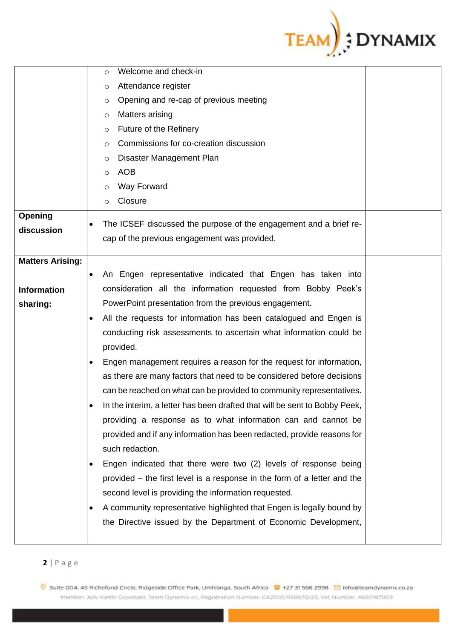

|                         | Welcome and check-in<br>O                                                          |
|-------------------------|------------------------------------------------------------------------------------|
|                         | Attendance register<br>O                                                           |
|                         | Opening and re-cap of previous meeting<br>O                                        |
|                         | Matters arising<br>$\circ$                                                         |
|                         | Future of the Refinery<br>$\circ$                                                  |
|                         | Commissions for co-creation discussion<br>O                                        |
|                         | Disaster Management Plan<br>$\circ$                                                |
|                         | <b>AOB</b><br>O                                                                    |
|                         | Way Forward<br>O                                                                   |
|                         | Closure<br>$\circ$                                                                 |
| Opening                 |                                                                                    |
| discussion              | The ICSEF discussed the purpose of the engagement and a brief re-                  |
|                         | cap of the previous engagement was provided.                                       |
| <b>Matters Arising:</b> |                                                                                    |
|                         | An Engen representative indicated that Engen has taken into<br>$\bullet$           |
| <b>Information</b>      | consideration all the information requested from Bobby Peek's                      |
| sharing:                | PowerPoint presentation from the previous engagement.                              |
|                         | All the requests for information has been catalogued and Engen is<br>$\bullet$     |
|                         | conducting risk assessments to ascertain what information could be                 |
|                         | provided.                                                                          |
|                         | Engen management requires a reason for the request for information,<br>$\bullet$   |
|                         | as there are many factors that need to be considered before decisions              |
|                         | can be reached on what can be provided to community representatives.               |
|                         | In the interim, a letter has been drafted that will be sent to Bobby Peek,         |
|                         | providing a response as to what information can and cannot be                      |
|                         | provided and if any information has been redacted, provide reasons for             |
|                         | such redaction.                                                                    |
|                         | Engen indicated that there were two (2) levels of response being<br>$\bullet$      |
|                         | provided – the first level is a response in the form of a letter and the           |
|                         | second level is providing the information requested.                               |
|                         | A community representative highlighted that Engen is legally bound by<br>$\bullet$ |
|                         | the Directive issued by the Department of Economic Development,                    |
|                         |                                                                                    |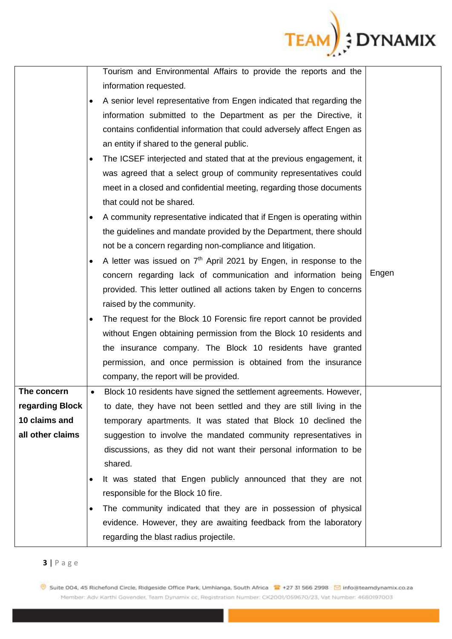

|                  |           | Tourism and Environmental Affairs to provide the reports and the       |       |
|------------------|-----------|------------------------------------------------------------------------|-------|
|                  |           | information requested.                                                 |       |
|                  |           | A senior level representative from Engen indicated that regarding the  |       |
|                  |           | information submitted to the Department as per the Directive, it       |       |
|                  |           | contains confidential information that could adversely affect Engen as |       |
|                  |           | an entity if shared to the general public.                             |       |
|                  | $\bullet$ | The ICSEF interjected and stated that at the previous engagement, it   |       |
|                  |           | was agreed that a select group of community representatives could      |       |
|                  |           | meet in a closed and confidential meeting, regarding those documents   |       |
|                  |           | that could not be shared.                                              |       |
|                  | $\bullet$ | A community representative indicated that if Engen is operating within |       |
|                  |           | the guidelines and mandate provided by the Department, there should    |       |
|                  |           | not be a concern regarding non-compliance and litigation.              |       |
|                  |           | A letter was issued on $7th$ April 2021 by Engen, in response to the   |       |
|                  |           | concern regarding lack of communication and information being          | Engen |
|                  |           | provided. This letter outlined all actions taken by Engen to concerns  |       |
|                  |           | raised by the community.                                               |       |
|                  | $\bullet$ | The request for the Block 10 Forensic fire report cannot be provided   |       |
|                  |           | without Engen obtaining permission from the Block 10 residents and     |       |
|                  |           | the insurance company. The Block 10 residents have granted             |       |
|                  |           | permission, and once permission is obtained from the insurance         |       |
|                  |           | company, the report will be provided.                                  |       |
| The concern      | $\bullet$ | Block 10 residents have signed the settlement agreements. However,     |       |
| regarding Block  |           | to date, they have not been settled and they are still living in the   |       |
| 10 claims and    |           | temporary apartments. It was stated that Block 10 declined the         |       |
| all other claims |           | suggestion to involve the mandated community representatives in        |       |
|                  |           | discussions, as they did not want their personal information to be     |       |
|                  |           | shared.                                                                |       |
|                  | $\bullet$ | It was stated that Engen publicly announced that they are not          |       |
|                  |           | responsible for the Block 10 fire.                                     |       |
|                  | $\bullet$ | The community indicated that they are in possession of physical        |       |
|                  |           | evidence. However, they are awaiting feedback from the laboratory      |       |
|                  |           | regarding the blast radius projectile.                                 |       |

**<sup>3</sup>** | P a g e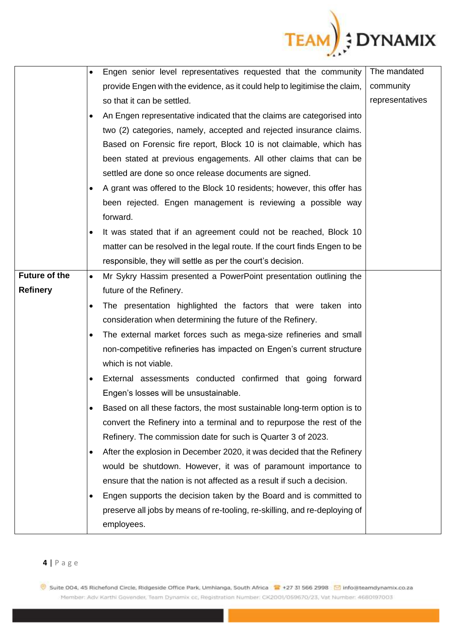

|                      | $\bullet$ | Engen senior level representatives requested that the community            | The mandated    |
|----------------------|-----------|----------------------------------------------------------------------------|-----------------|
|                      |           | provide Engen with the evidence, as it could help to legitimise the claim, | community       |
|                      |           | so that it can be settled.                                                 | representatives |
|                      | $\bullet$ | An Engen representative indicated that the claims are categorised into     |                 |
|                      |           | two (2) categories, namely, accepted and rejected insurance claims.        |                 |
|                      |           | Based on Forensic fire report, Block 10 is not claimable, which has        |                 |
|                      |           | been stated at previous engagements. All other claims that can be          |                 |
|                      |           | settled are done so once release documents are signed.                     |                 |
|                      | $\bullet$ | A grant was offered to the Block 10 residents; however, this offer has     |                 |
|                      |           | been rejected. Engen management is reviewing a possible way                |                 |
|                      |           | forward.                                                                   |                 |
|                      | $\bullet$ | It was stated that if an agreement could not be reached, Block 10          |                 |
|                      |           | matter can be resolved in the legal route. If the court finds Engen to be  |                 |
|                      |           | responsible, they will settle as per the court's decision.                 |                 |
| <b>Future of the</b> | $\bullet$ | Mr Sykry Hassim presented a PowerPoint presentation outlining the          |                 |
| <b>Refinery</b>      |           | future of the Refinery.                                                    |                 |
|                      | $\bullet$ | The presentation highlighted the factors that were taken into              |                 |
|                      |           | consideration when determining the future of the Refinery.                 |                 |
|                      | $\bullet$ | The external market forces such as mega-size refineries and small          |                 |
|                      |           | non-competitive refineries has impacted on Engen's current structure       |                 |
|                      |           | which is not viable.                                                       |                 |
|                      | ٠         | External assessments conducted confirmed that going forward                |                 |
|                      |           | Engen's losses will be unsustainable.                                      |                 |
|                      | $\bullet$ | Based on all these factors, the most sustainable long-term option is to    |                 |
|                      |           | convert the Refinery into a terminal and to repurpose the rest of the      |                 |
|                      |           | Refinery. The commission date for such is Quarter 3 of 2023.               |                 |
|                      | $\bullet$ | After the explosion in December 2020, it was decided that the Refinery     |                 |
|                      |           | would be shutdown. However, it was of paramount importance to              |                 |
|                      |           | ensure that the nation is not affected as a result if such a decision.     |                 |
|                      | $\bullet$ | Engen supports the decision taken by the Board and is committed to         |                 |
|                      |           | preserve all jobs by means of re-tooling, re-skilling, and re-deploying of |                 |
|                      |           | employees.                                                                 |                 |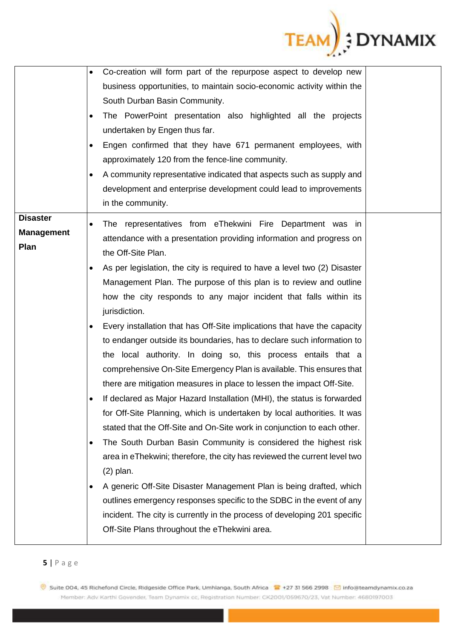

|                                              | Co-creation will form part of the repurpose aspect to develop new<br>$\bullet$<br>business opportunities, to maintain socio-economic activity within the<br>South Durban Basin Community.<br>The PowerPoint presentation also highlighted all the projects<br>undertaken by Engen thus far.<br>Engen confirmed that they have 671 permanent employees, with<br>$\bullet$<br>approximately 120 from the fence-line community.                                                                                                                                                                                                                                                                                                                                                                                                                                                                                                                                                                                                                                                                                        |  |
|----------------------------------------------|---------------------------------------------------------------------------------------------------------------------------------------------------------------------------------------------------------------------------------------------------------------------------------------------------------------------------------------------------------------------------------------------------------------------------------------------------------------------------------------------------------------------------------------------------------------------------------------------------------------------------------------------------------------------------------------------------------------------------------------------------------------------------------------------------------------------------------------------------------------------------------------------------------------------------------------------------------------------------------------------------------------------------------------------------------------------------------------------------------------------|--|
|                                              | A community representative indicated that aspects such as supply and<br>$\bullet$<br>development and enterprise development could lead to improvements<br>in the community.                                                                                                                                                                                                                                                                                                                                                                                                                                                                                                                                                                                                                                                                                                                                                                                                                                                                                                                                         |  |
| <b>Disaster</b><br><b>Management</b><br>Plan | The representatives from eThekwini Fire Department was in<br>$\bullet$<br>attendance with a presentation providing information and progress on<br>the Off-Site Plan.<br>As per legislation, the city is required to have a level two (2) Disaster<br>$\bullet$<br>Management Plan. The purpose of this plan is to review and outline<br>how the city responds to any major incident that falls within its<br>jurisdiction.<br>Every installation that has Off-Site implications that have the capacity<br>to endanger outside its boundaries, has to declare such information to<br>the local authority. In doing so, this process entails that a<br>comprehensive On-Site Emergency Plan is available. This ensures that<br>there are mitigation measures in place to lessen the impact Off-Site.<br>If declared as Major Hazard Installation (MHI), the status is forwarded<br>for Off-Site Planning, which is undertaken by local authorities. It was<br>stated that the Off-Site and On-Site work in conjunction to each other.<br>The South Durban Basin Community is considered the highest risk<br>$\bullet$ |  |
|                                              | area in eThekwini; therefore, the city has reviewed the current level two<br>$(2)$ plan.<br>A generic Off-Site Disaster Management Plan is being drafted, which<br>$\bullet$<br>outlines emergency responses specific to the SDBC in the event of any<br>incident. The city is currently in the process of developing 201 specific<br>Off-Site Plans throughout the eThekwini area.                                                                                                                                                                                                                                                                                                                                                                                                                                                                                                                                                                                                                                                                                                                                 |  |